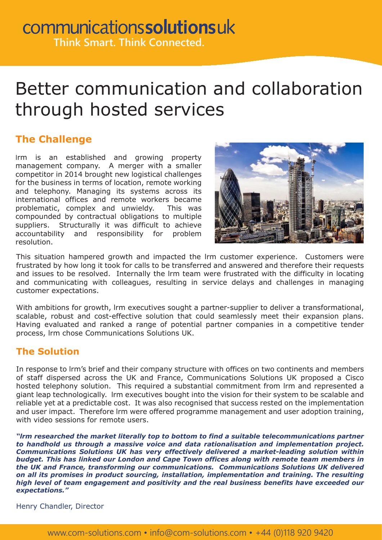# Better communication and collaboration through hosted services

### **The Challenge**

lrm is an established and growing property management company. A merger with a smaller competitor in 2014 brought new logistical challenges for the business in terms of location, remote working and telephony. Managing its systems across its international offices and remote workers became problematic, complex and unwieldy. This was compounded by contractual obligations to multiple suppliers. Structurally it was difficult to achieve accountability and responsibility for problem resolution.



This situation hampered growth and impacted the lrm customer experience. Customers were frustrated by how long it took for calls to be transferred and answered and therefore their requests and issues to be resolved. Internally the lrm team were frustrated with the difficulty in locating and communicating with colleagues, resulting in service delays and challenges in managing customer expectations.

With ambitions for growth, lrm executives sought a partner-supplier to deliver a transformational, scalable, robust and cost-effective solution that could seamlessly meet their expansion plans. Having evaluated and ranked a range of potential partner companies in a competitive tender process, lrm chose Communications Solutions UK.

### **The Solution**

In response to lrm's brief and their company structure with offices on two continents and members of staff dispersed across the UK and France, Communications Solutions UK proposed a Cisco hosted telephony solution. This required a substantial commitment from lrm and represented a giant leap technologically. lrm executives bought into the vision for their system to be scalable and reliable yet at a predictable cost. It was also recognised that success rested on the implementation and user impact. Therefore lrm were offered programme management and user adoption training, with video sessions for remote users.

*"lrm researched the market literally top to bottom to find a suitable telecommunications partner to handhold us through a massive voice and data rationalisation and implementation project. Communications Solutions UK has very effectively delivered a market-leading solution within budget. This has linked our London and Cape Town offices along with remote team members in the UK and France, transforming our communications. Communications Solutions UK delivered on all its promises in product sourcing, installation, implementation and training. The resulting high level of team engagement and positivity and the real business benefits have exceeded our expectations."*

Henry Chandler, Director